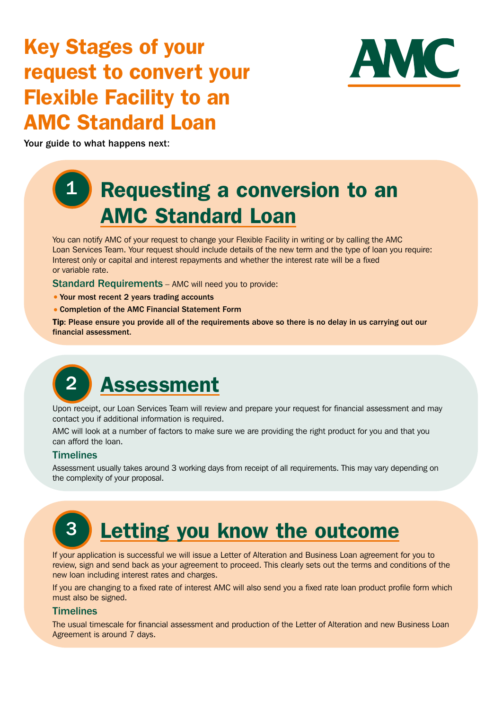### Key Stages of your request to convert your Flexible Facility to an AMC Standard Loan



Your guide to what happens next:

### **1 Requesting a conversion to an** AMC Standard Loan

You can notify AMC of your request to change your Flexible Facility in writing or by calling the AMC Loan Services Team. Your request should include details of the new term and the type of loan you require: Interest only or capital and interest repayments and whether the interest rate will be a fixed or variable rate.

Standard Requirements – AMC will need you to provide:

- Your most recent 2 years trading accounts
- *•* Completion of the AMC Financial Statement Form

Tip: Please ensure you provide all of the requirements above so there is no delay in us carrying out our financial assessment.

# 2 **Assessment**

Upon receipt, our Loan Services Team will review and prepare your request for financial assessment and may contact you if additional information is required.

AMC will look at a number of factors to make sure we are providing the right product for you and that you can afford the loan.

### **Timelines**

Assessment usually takes around 3 working days from receipt of all requirements. This may vary depending on the complexity of your proposal.

## 3 Letting you know the outcome

If your application is successful we will issue a Letter of Alteration and Business Loan agreement for you to review, sign and send back as your agreement to proceed. This clearly sets out the terms and conditions of the new loan including interest rates and charges.

If you are changing to a fixed rate of interest AMC will also send you a fixed rate loan product profile form which must also be signed.

### **Timelines**

The usual timescale for financial assessment and production of the Letter of Alteration and new Business Loan Agreement is around 7 days.